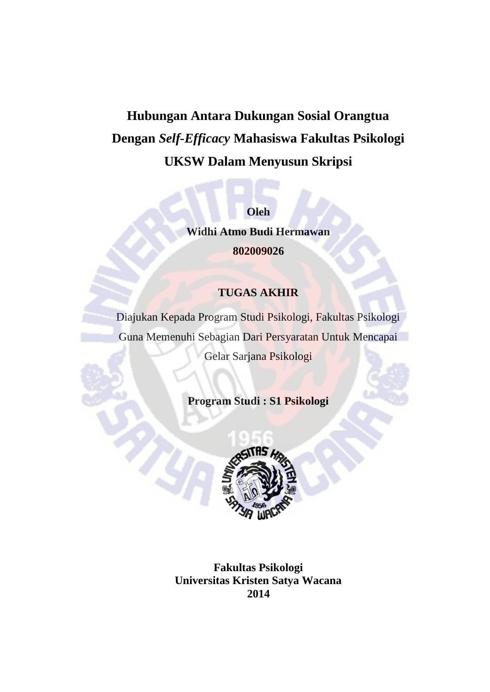# **Hubungan Antara Dukungan Sosial Orangtua Dengan** *Self-Efficacy* **Mahasiswa Fakultas Psikologi UKSW Dalam Menyusun Skripsi**

**Oleh**

**Widhi Atmo Budi Hermawan 802009026**

## **TUGAS AKHIR**

Diajukan Kepada Program Studi Psikologi, Fakultas Psikologi Guna Memenuhi Sebagian Dari Persyaratan Untuk Mencapai Gelar Sarjana Psikologi

**Program Studi : S1 Psikologi**



**Fakultas Psikologi Universitas Kristen Satya Wacana 2014**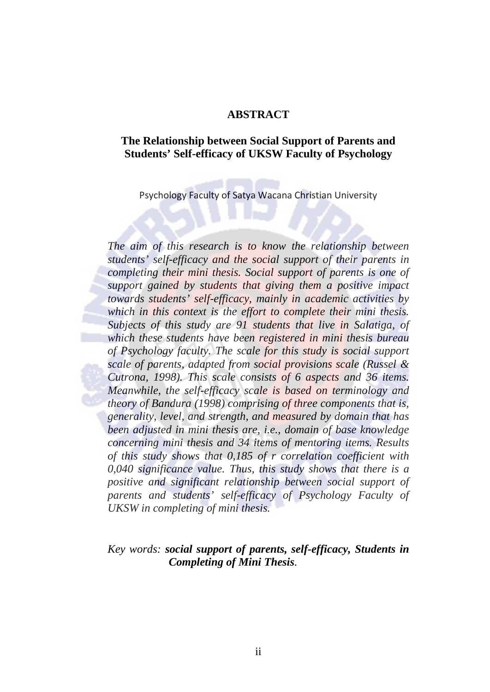#### **ABSTRACT**

#### **The Relationship between Social Support of Parents and Students' Self-efficacy of UKSW Faculty of Psychology**

Psychology Faculty of Satya Wacana Christian University

*The aim of this research is to know the relationship between students' self-efficacy and the social support of their parents in completing their mini thesis. Social support of parents is one of support gained by students that giving them a positive impact towards students' self-efficacy, mainly in academic activities by which in this context is the effort to complete their mini thesis. Subjects of this study are 91 students that live in Salatiga, of which these students have been registered in mini thesis bureau of Psychology faculty. The scale for this study is social support scale of parents, adapted from social provisions scale (Russel & Cutrona, 1998). This scale consists of 6 aspects and 36 items. Meanwhile, the self-efficacy scale is based on terminology and theory of Bandura (1998) comprising of three components that is, generality, level, and strength, and measured by domain that has been adjusted in mini thesis are, i.e., domain of base knowledge concerning mini thesis and 34 items of mentoring items. Results of this study shows that 0,185 of r correlation coefficient with 0,040 significance value. Thus, this study shows that there is a positive and significant relationship between social support of parents and students' self-efficacy of Psychology Faculty of UKSW in completing of mini thesis.*

## *Key words: social support of parents, self-efficacy, Students in Completing of Mini Thesis.*